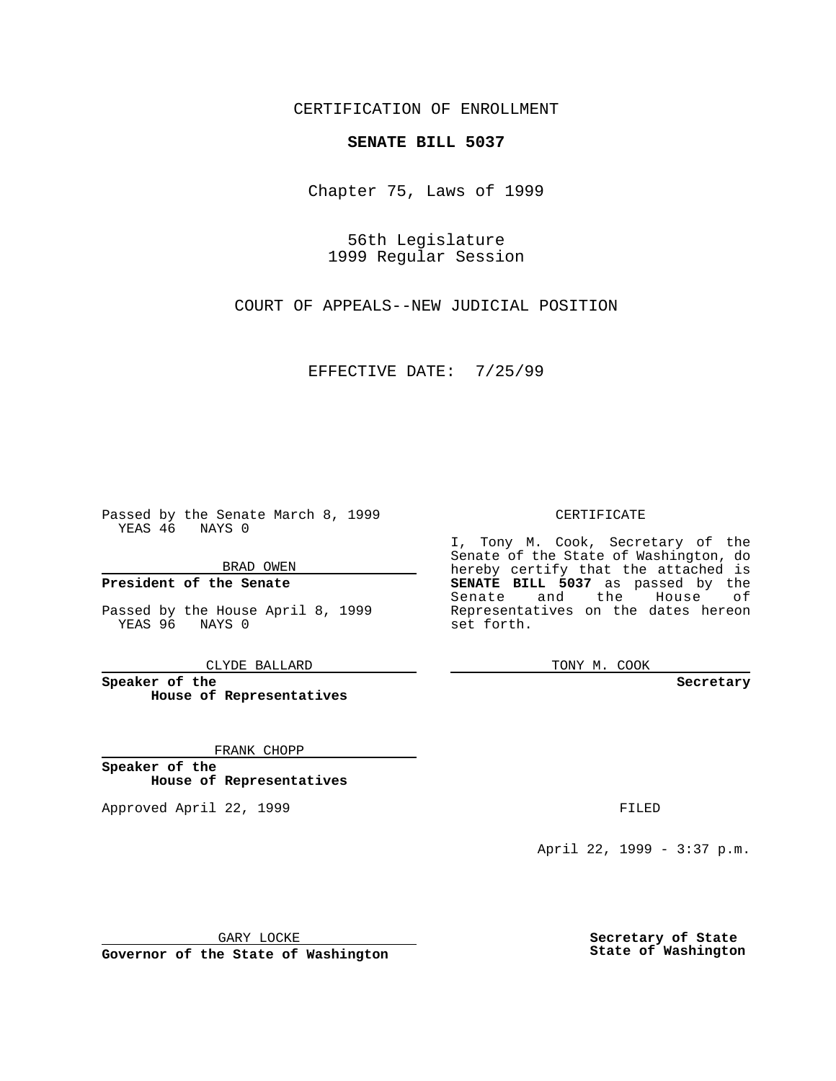CERTIFICATION OF ENROLLMENT

## **SENATE BILL 5037**

Chapter 75, Laws of 1999

56th Legislature 1999 Regular Session

COURT OF APPEALS--NEW JUDICIAL POSITION

EFFECTIVE DATE: 7/25/99

Passed by the Senate March 8, 1999 YEAS 46 NAYS 0

BRAD OWEN

**President of the Senate**

Passed by the House April 8, 1999 YEAS 96 NAYS 0

CLYDE BALLARD

**Speaker of the House of Representatives**

FRANK CHOPP

**Speaker of the House of Representatives**

Approved April 22, 1999 **FILED** 

### CERTIFICATE

I, Tony M. Cook, Secretary of the Senate of the State of Washington, do hereby certify that the attached is **SENATE BILL 5037** as passed by the Senate and the House of Representatives on the dates hereon set forth.

TONY M. COOK

#### **Secretary**

April 22, 1999 - 3:37 p.m.

GARY LOCKE

**Governor of the State of Washington**

**Secretary of State State of Washington**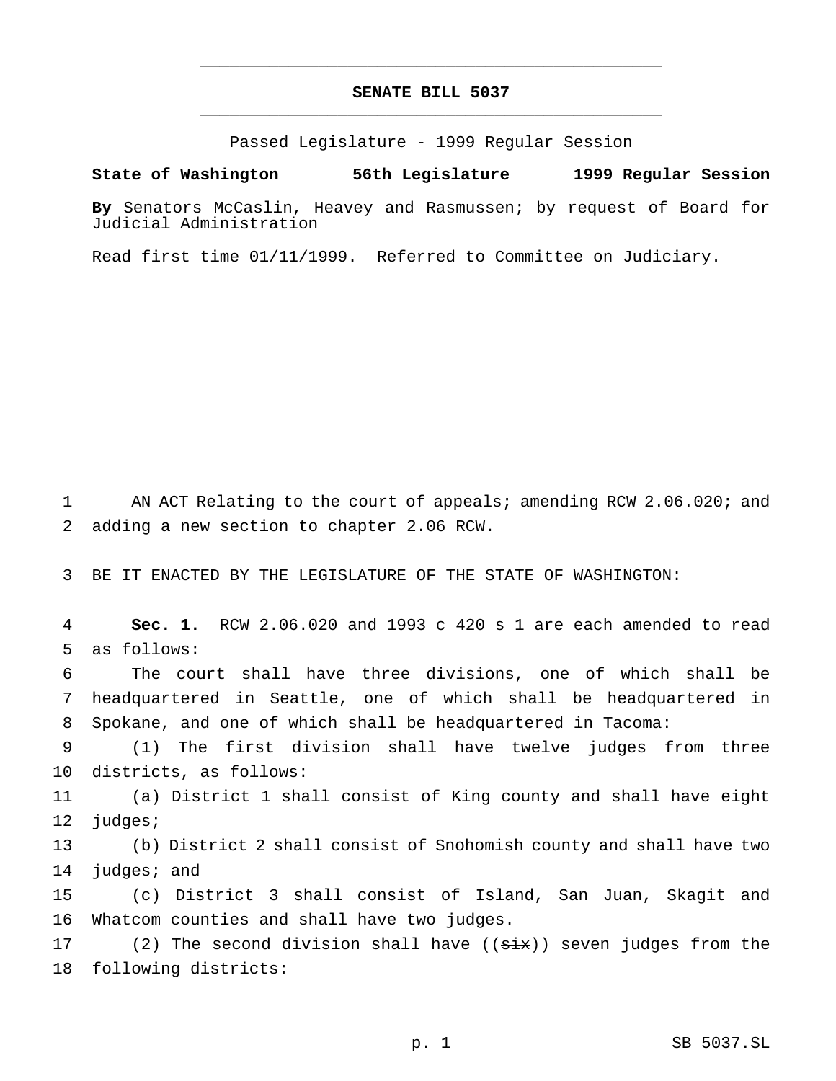# **SENATE BILL 5037** \_\_\_\_\_\_\_\_\_\_\_\_\_\_\_\_\_\_\_\_\_\_\_\_\_\_\_\_\_\_\_\_\_\_\_\_\_\_\_\_\_\_\_\_\_\_\_

\_\_\_\_\_\_\_\_\_\_\_\_\_\_\_\_\_\_\_\_\_\_\_\_\_\_\_\_\_\_\_\_\_\_\_\_\_\_\_\_\_\_\_\_\_\_\_

Passed Legislature - 1999 Regular Session

### **State of Washington 56th Legislature 1999 Regular Session**

**By** Senators McCaslin, Heavey and Rasmussen; by request of Board for Judicial Administration

Read first time 01/11/1999. Referred to Committee on Judiciary.

1 AN ACT Relating to the court of appeals; amending RCW 2.06.020; and 2 adding a new section to chapter 2.06 RCW.

3 BE IT ENACTED BY THE LEGISLATURE OF THE STATE OF WASHINGTON:

4 **Sec. 1.** RCW 2.06.020 and 1993 c 420 s 1 are each amended to read 5 as follows:

6 The court shall have three divisions, one of which shall be 7 headquartered in Seattle, one of which shall be headquartered in 8 Spokane, and one of which shall be headquartered in Tacoma:

9 (1) The first division shall have twelve judges from three 10 districts, as follows:

11 (a) District 1 shall consist of King county and shall have eight 12 judges;

13 (b) District 2 shall consist of Snohomish county and shall have two 14 judges; and

15 (c) District 3 shall consist of Island, San Juan, Skagit and 16 Whatcom counties and shall have two judges.

17 (2) The second division shall have (( $\frac{1}{3}$ ) seven judges from the 18 following districts: